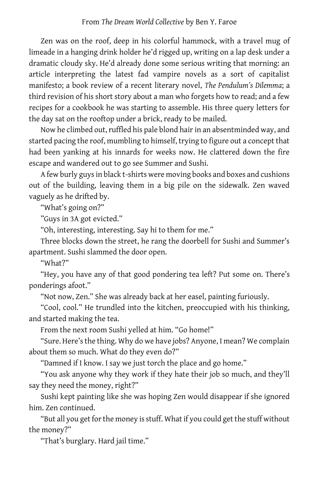Zen was on the roof, deep in his colorful hammock, with a travel mug of limeade in a hanging drink holder he'd rigged up, writing on a lap desk under a dramatic cloudy sky. He'd already done some serious writing that morning: an article interpreting the latest fad vampire novels as a sort of capitalist manifesto; a book review of a recent literary novel, *The Pendulum's Dilemma*; a third revision of his short story about a man who forgets how to read; and a few recipes for a cookbook he was starting to assemble. His three query letters for the day sat on the rooftop under a brick, ready to be mailed.

Now he climbed out, ruffled his pale blond hair in an absentminded way, and started pacing the roof, mumbling to himself, trying to figure out a concept that had been yanking at his innards for weeks now. He clattered down the fire escape and wandered out to go see Summer and Sushi.

A few burly guys in black t-shirts were moving books and boxes and cushions out of the building, leaving them in a big pile on the sidewalk. Zen waved vaguely as he drifted by.

"What's going on?"

"Guys in 3A got evicted."

"Oh, interesting, interesting. Say hi to them for me."

Three blocks down the street, he rang the doorbell for Sushi and Summer's apartment. Sushi slammed the door open.

"What?"

"Hey, you have any of that good pondering tea left? Put some on. There's ponderings afoot."

"Not now, Zen." She was already back at her easel, painting furiously.

"Cool, cool." He trundled into the kitchen, preoccupied with his thinking, and started making the tea.

From the next room Sushi yelled at him. "Go home!"

"Sure. Here's the thing. Why do we have jobs? Anyone, I mean? We complain about them so much. What do they even do?"

"Damned if I know. I say we just torch the place and go home."

"You ask anyone why they work if they hate their job so much, and they'll say they need the money, right?"

Sushi kept painting like she was hoping Zen would disappear if she ignored him. Zen continued.

"But all you get for the money is stuff. What if you could get the stuff without the money?"

"That's burglary. Hard jail time."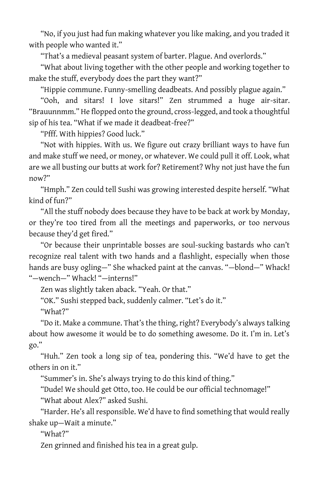"No, if you just had fun making whatever you like making, and you traded it with people who wanted it."

"That's a medieval peasant system of barter. Plague. And overlords."

"What about living together with the other people and working together to make the stuff, everybody does the part they want?"

"Hippie commune. Funny-smelling deadbeats. And possibly plague again."

"Ooh, and sitars! I love sitars!" Zen strummed a huge air-sitar. "Brauunnmm." He flopped onto the ground, cross-legged, and took a thoughtful sip of his tea. "What if we made it deadbeat-free?"

"Pfff. With hippies? Good luck."

"Not with hippies. With us. We figure out crazy brilliant ways to have fun and make stuff we need, or money, or whatever. We could pull it off. Look, what are we all busting our butts at work for? Retirement? Why not just have the fun now?"

"Hmph." Zen could tell Sushi was growing interested despite herself. "What kind of fun?"

"All the stuff nobody does because they have to be back at work by Monday, or they're too tired from all the meetings and paperworks, or too nervous because they'd get fired."

"Or because their unprintable bosses are soul-sucking bastards who can't recognize real talent with two hands and a flashlight, especially when those hands are busy ogling-" She whacked paint at the canvas. "-blond-" Whack! "—wench—" Whack! "—interns!"

Zen was slightly taken aback. "Yeah. Or that."

"OK." Sushi stepped back, suddenly calmer. "Let's do it."

"What?"

"Do it. Make a commune. That's the thing, right? Everybody's always talking about how awesome it would be to do something awesome. Do it. I'm in. Let's go."

"Huh." Zen took a long sip of tea, pondering this. "We'd have to get the others in on it."

"Summer's in. She's always trying to do this kind of thing."

"Dude! We should get Otto, too. He could be our official technomage!"

"What about Alex?" asked Sushi.

"Harder. He's all responsible. We'd have to find something that would really shake up—Wait a minute."

"What?"

Zen grinned and finished his tea in a great gulp.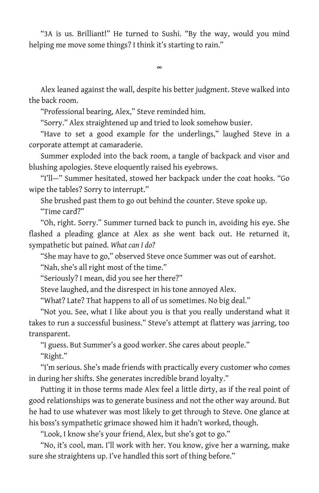"3A is us. Brilliant!" He turned to Sushi. "By the way, would you mind helping me move some things? I think it's starting to rain."

∞

Alex leaned against the wall, despite his better judgment. Steve walked into the back room.

"Professional bearing, Alex," Steve reminded him.

"Sorry." Alex straightened up and tried to look somehow busier.

"Have to set a good example for the underlings," laughed Steve in a corporate attempt at camaraderie.

Summer exploded into the back room, a tangle of backpack and visor and blushing apologies. Steve eloquently raised his eyebrows.

"I'll—" Summer hesitated, stowed her backpack under the coat hooks. "Go wipe the tables? Sorry to interrupt."

She brushed past them to go out behind the counter. Steve spoke up. "Time card?"

"Oh, right. Sorry." Summer turned back to punch in, avoiding his eye. She flashed a pleading glance at Alex as she went back out. He returned it, sympathetic but pained. *What can I do?*

"She may have to go," observed Steve once Summer was out of earshot.

"Nah, she's all right most of the time."

"Seriously? I mean, did you see her there?"

Steve laughed, and the disrespect in his tone annoyed Alex.

"What? Late? That happens to all of us sometimes. No big deal."

"Not you. See, what I like about you is that you really understand what it takes to run a successful business." Steve's attempt at flattery was jarring, too transparent.

"I guess. But Summer's a good worker. She cares about people."

"Right."

"I'm serious. She's made friends with practically every customer who comes in during her shifts. She generates incredible brand loyalty."

Putting it in those terms made Alex feel a little dirty, as if the real point of good relationships was to generate business and not the other way around. But he had to use whatever was most likely to get through to Steve. One glance at his boss's sympathetic grimace showed him it hadn't worked, though.

"Look, I know she's your friend, Alex, but she's got to go."

"No, it's cool, man. I'll work with her. You know, give her a warning, make sure she straightens up. I've handled this sort of thing before."